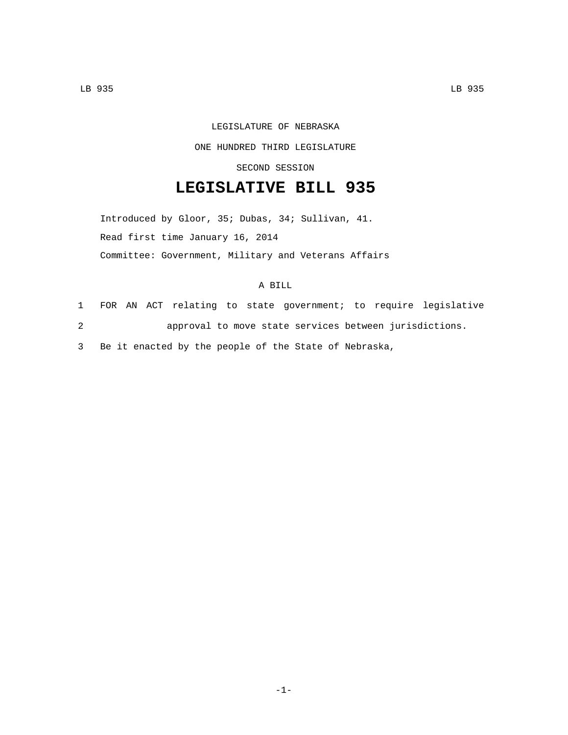## LEGISLATURE OF NEBRASKA

ONE HUNDRED THIRD LEGISLATURE

SECOND SESSION

## **LEGISLATIVE BILL 935**

Introduced by Gloor, 35; Dubas, 34; Sullivan, 41. Read first time January 16, 2014 Committee: Government, Military and Veterans Affairs

## A BILL

1 FOR AN ACT relating to state government; to require legislative 2 approval to move state services between jurisdictions.

3 Be it enacted by the people of the State of Nebraska,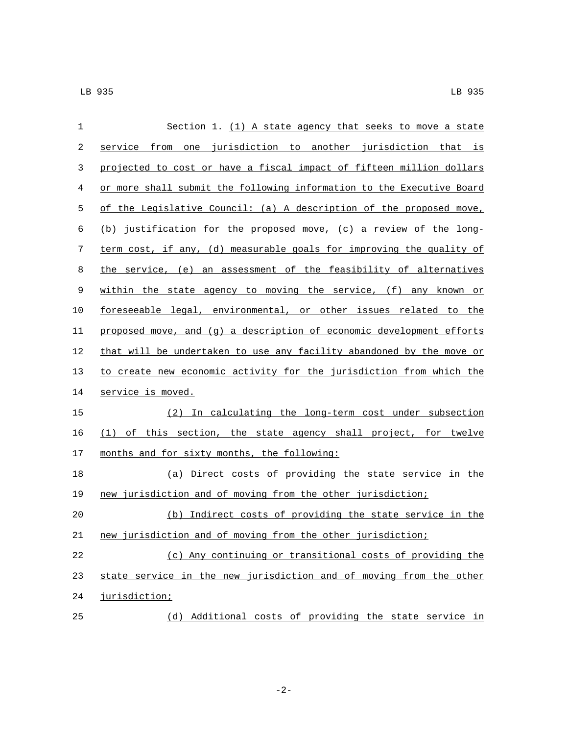| $\mathbf 1$ | Section 1. $(1)$ A state agency that seeks to move a state            |
|-------------|-----------------------------------------------------------------------|
| 2           | service from one jurisdiction to another jurisdiction that is         |
| 3           | projected to cost or have a fiscal impact of fifteen million dollars  |
| 4           | or more shall submit the following information to the Executive Board |
| 5           | of the Legislative Council: (a) A description of the proposed move,   |
| 6           | (b) justification for the proposed move, (c) a review of the long-    |
| 7           | term cost, if any, (d) measurable goals for improving the quality of  |
| 8           | the service, (e) an assessment of the feasibility of alternatives     |
| 9           | within the state agency to moving the service, (f) any known or       |
| 10          | foreseeable legal, environmental, or other issues related to the      |
| 11          | proposed move, and (g) a description of economic development efforts  |
| 12          | that will be undertaken to use any facility abandoned by the move or  |
| 13          | to create new economic activity for the jurisdiction from which the   |
| 14          | service is moved.                                                     |
| 15          | (2) In calculating the long-term cost under subsection                |
| 16          | (1) of this section, the state agency shall project, for twelve       |
| 17          | months and for sixty months, the following:                           |
| 18          | (a) Direct costs of providing the state service in the                |
| 19          | new jurisdiction and of moving from the other jurisdiction;           |
| 20          | (b) Indirect costs of providing the state service in the              |
| $21\,$      | new jurisdiction and of moving from the other jurisdiction;           |
| 22          | (c) Any continuing or transitional costs of providing the             |
| 23          | state service in the new jurisdiction and of moving from the other    |
| 24          | jurisdiction;                                                         |
| 25          | (d) Additional costs of providing the state service in                |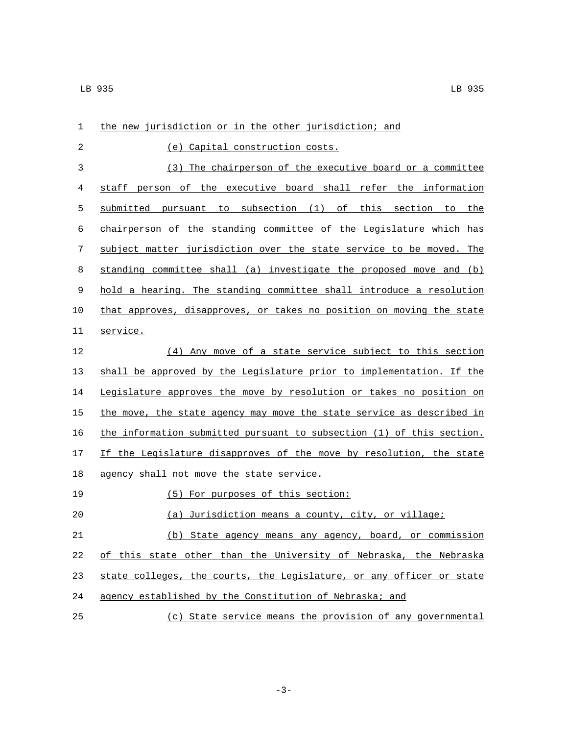| 1  | the new jurisdiction or in the other jurisdiction; and                |
|----|-----------------------------------------------------------------------|
| 2  | (e) Capital construction costs.                                       |
| 3  | (3) The chairperson of the executive board or a committee             |
| 4  | staff person of the executive board shall refer the information       |
| 5  | submitted pursuant to subsection (1) of this section to the           |
| 6  | chairperson of the standing committee of the Legislature which has    |
| 7  | subject matter jurisdiction over the state service to be moved. The   |
| 8  | standing committee shall (a) investigate the proposed move and (b)    |
| 9  | hold a hearing. The standing committee shall introduce a resolution   |
| 10 | that approves, disapproves, or takes no position on moving the state  |
| 11 | service.                                                              |
| 12 | (4) Any move of a state service subject to this section               |
| 13 | shall be approved by the Legislature prior to implementation. If the  |
| 14 | Legislature approves the move by resolution or takes no position on   |
| 15 | the move, the state agency may move the state service as described in |
| 16 | the information submitted pursuant to subsection (1) of this section. |
| 17 | If the Legislature disapproves of the move by resolution, the state   |
| 18 | agency shall not move the state service.                              |
| 19 | (5) For purposes of this section:                                     |
| 20 | Jurisdiction means a county, city, or village;<br>(a)                 |
| 21 | (b) State agency means any agency, board, or commission               |
| 22 | of this state other than the University of Nebraska, the Nebraska     |
| 23 | state colleges, the courts, the Legislature, or any officer or state  |
| 24 | agency established by the Constitution of Nebraska; and               |
| 25 | (c) State service means the provision of any governmental             |

-3-